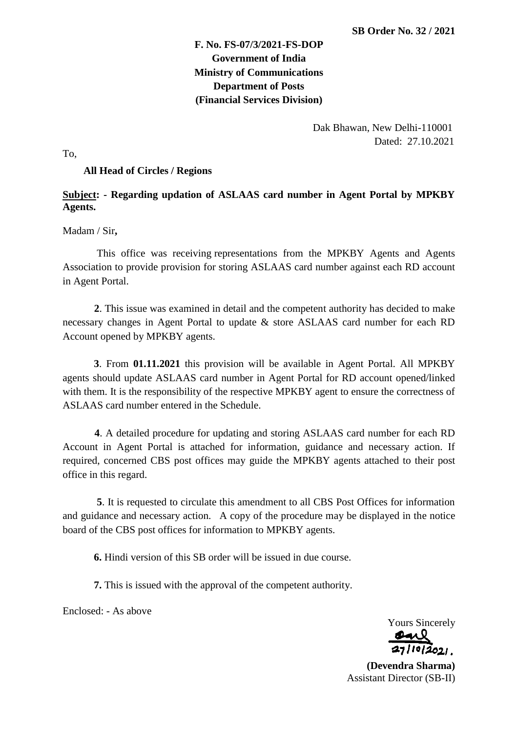# **F. No. FS-07/3/2021-FS-DOP Government of India Ministry of Communications Department of Posts (Financial Services Division)**

 Dak Bhawan, New Delhi-110001 Dated: 27.10.2021

To,

#### **All Head of Circles / Regions**

## **Subject: - Regarding updation of ASLAAS card number in Agent Portal by MPKBY Agents.**

Madam / Sir**,**

 This office was receiving representations from the MPKBY Agents and Agents Association to provide provision for storing ASLAAS card number against each RD account in Agent Portal.

 **2**. This issue was examined in detail and the competent authority has decided to make necessary changes in Agent Portal to update & store ASLAAS card number for each RD Account opened by MPKBY agents.

**3**. From **01.11.2021** this provision will be available in Agent Portal. All MPKBY agents should update ASLAAS card number in Agent Portal for RD account opened/linked with them. It is the responsibility of the respective MPKBY agent to ensure the correctness of ASLAAS card number entered in the Schedule.

 **4**. A detailed procedure for updating and storing ASLAAS card number for each RD Account in Agent Portal is attached for information, guidance and necessary action. If required, concerned CBS post offices may guide the MPKBY agents attached to their post office in this regard.

 **5**. It is requested to circulate this amendment to all CBS Post Offices for information and guidance and necessary action. A copy of the procedure may be displayed in the notice board of the CBS post offices for information to MPKBY agents.

**6.** Hindi version of this SB order will be issued in due course.

**7.** This is issued with the approval of the competent authority.

Enclosed: - As above

Yours Sincerely

**(Devendra Sharma)** Assistant Director (SB-II)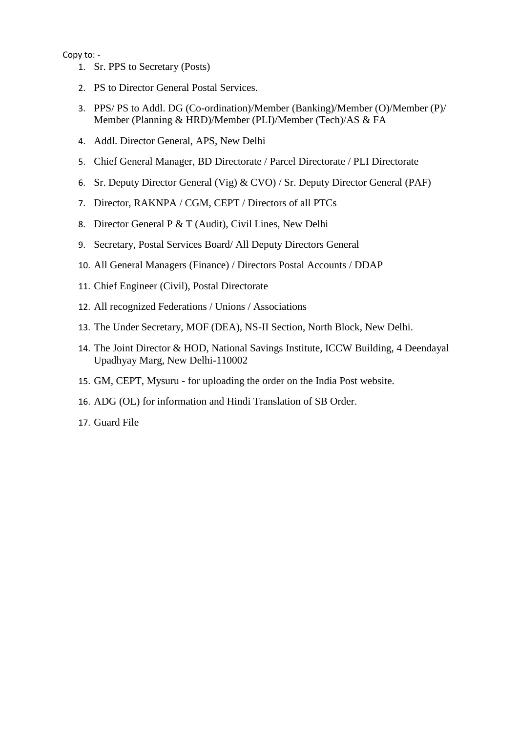### Copy to: -

- 1. Sr. PPS to Secretary (Posts)
- 2. PS to Director General Postal Services.
- 3. PPS/ PS to Addl. DG (Co-ordination)/Member (Banking)/Member (O)/Member (P)/ Member (Planning & HRD)/Member (PLI)/Member (Tech)/AS & FA
- 4. Addl. Director General, APS, New Delhi
- 5. Chief General Manager, BD Directorate / Parcel Directorate / PLI Directorate
- 6. Sr. Deputy Director General (Vig) & CVO) / Sr. Deputy Director General (PAF)
- 7. Director, RAKNPA / CGM, CEPT / Directors of all PTCs
- 8. Director General P & T (Audit), Civil Lines, New Delhi
- 9. Secretary, Postal Services Board/ All Deputy Directors General
- 10. All General Managers (Finance) / Directors Postal Accounts / DDAP
- 11. Chief Engineer (Civil), Postal Directorate
- 12. All recognized Federations / Unions / Associations
- 13. The Under Secretary, MOF (DEA), NS-II Section, North Block, New Delhi.
- 14. The Joint Director & HOD, National Savings Institute, ICCW Building, 4 Deendayal Upadhyay Marg, New Delhi-110002
- 15. GM, CEPT, Mysuru for uploading the order on the India Post website.
- 16. ADG (OL) for information and Hindi Translation of SB Order.
- 17. Guard File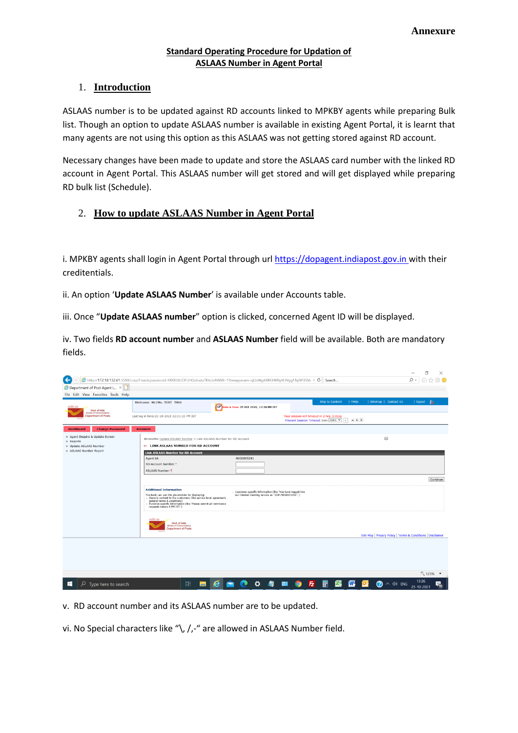#### **Standard Operating Procedure for Updation of ASLAAS Number in Agent Portal**

### 1. **Introduction**

ASLAAS number is to be updated against RD accounts linked to MPKBY agents while preparing Bulk list. Though an option to update ASLAAS number is available in existing Agent Portal, it is learnt that many agents are not using this option as this ASLAAS was not getting stored against RD account.

Necessary changes have been made to update and store the ASLAAS card number with the linked RD account in Agent Portal. This ASLAAS number will get stored and will get displayed while preparing RD bulk list (Schedule).

# 2. **How to update ASLAAS Number in Agent Portal**

i. MPKBY agents shall login in Agent Portal through url https://dopagent.indiapost.gov.in with their creditentials.

ii. An option '**Update ASLAAS Number**' is available under Accounts table.

iii. Once "**Update ASLAAS number**" option is clicked, concerned Agent ID will be displayed.

iv. Two fields **RD account number** and **ASLAAS Number** field will be available. Both are mandatory fields.

|                                                          |                                                                                                                                                                                                                                                                                              |        |                                                                                                                    |   |           |                                                                                         |               |                                   | 门<br>$\times$<br>$\overline{\phantom{a}}$                   |
|----------------------------------------------------------|----------------------------------------------------------------------------------------------------------------------------------------------------------------------------------------------------------------------------------------------------------------------------------------------|--------|--------------------------------------------------------------------------------------------------------------------|---|-----------|-----------------------------------------------------------------------------------------|---------------|-----------------------------------|-------------------------------------------------------------|
| ↞                                                        | Lattp://172.18.132.61:5590/corp/Finacle;jsessionid=0000J8UDFUHQnbwtz7K4sJsA9W8:-1?bwayparam=qQxWqAXRGHHSylK3Vqq1TqlltFBSVe v C   Search                                                                                                                                                      |        |                                                                                                                    |   |           |                                                                                         |               |                                   | - ۹<br>88 O                                                 |
| Department of Post Agent L ×                             |                                                                                                                                                                                                                                                                                              |        |                                                                                                                    |   |           |                                                                                         |               |                                   |                                                             |
| File Edit View Favorites Tools Help                      |                                                                                                                                                                                                                                                                                              |        |                                                                                                                    |   |           |                                                                                         |               |                                   |                                                             |
| arythy my<br>Govt. of India                              | Welcome Mr/Ms. TEST TWO                                                                                                                                                                                                                                                                      |        | Date & Time: 25 Oct 2021, 13:26:09 IST                                                                             |   |           | <b>Skip to Content</b>                                                                  | <b>I</b> FAOS | Sitemap   Contact Us              | $R_{\ell}$<br>  logout                                      |
| Ministry of Communications<br><b>Department of Posts</b> | Last log in time: 25-10-2021 12:11:25 PM IST                                                                                                                                                                                                                                                 |        |                                                                                                                    |   |           | Your session will timeout in 2 hrs: 0 mins<br>Prevent Session Timeout Skin: Skin1 V   » | A A A         |                                   |                                                             |
| <b>Dashboard</b><br><b>Change Password</b>               | <b>Accounts</b>                                                                                                                                                                                                                                                                              |        |                                                                                                                    |   |           |                                                                                         |               |                                   |                                                             |
| » Agent Enquire & Update Screen<br>» Reports             | Accounts: Update ASLAAS Number > Link ASLAAS Number for RD Account                                                                                                                                                                                                                           |        |                                                                                                                    |   |           |                                                                                         |               | ė                                 |                                                             |
| » Update ASLAAS Number                                   | >> LINK ASLAAS NUMBER FOR RD ACCOUNT                                                                                                                                                                                                                                                         |        |                                                                                                                    |   |           |                                                                                         |               |                                   |                                                             |
| » ASLAAS Number Report                                   | <b>Link ASLAAS Number for RD Account</b>                                                                                                                                                                                                                                                     |        |                                                                                                                    |   |           |                                                                                         |               |                                   |                                                             |
|                                                          | Agent Id:                                                                                                                                                                                                                                                                                    |        | MIG0005241                                                                                                         |   |           |                                                                                         |               |                                   |                                                             |
|                                                          | RD Account Number:                                                                                                                                                                                                                                                                           |        |                                                                                                                    |   |           |                                                                                         |               |                                   |                                                             |
|                                                          | ASLAAS Number: <sup>*</sup>                                                                                                                                                                                                                                                                  |        |                                                                                                                    |   |           |                                                                                         |               |                                   |                                                             |
|                                                          |                                                                                                                                                                                                                                                                                              |        |                                                                                                                    |   |           |                                                                                         |               |                                   | Continue                                                    |
|                                                          | <b>Additional Information</b><br>The bank can use this placeholder for displaying:<br>- Generic content to the customers (like service level agreement,<br>general terms & conditions)<br>- Function-specific information (like 'Please submit all remittance<br>requests before 8 PM IST.") |        | - Customer-specific information (like 'You have logged into<br>our internet banking service as "DOP.MIG0005241".") |   |           |                                                                                         |               |                                   |                                                             |
|                                                          | stafts on<br>Govt. of India<br>Ministry of Communications<br><b>Department of Posts</b>                                                                                                                                                                                                      |        |                                                                                                                    |   |           |                                                                                         |               |                                   | Site Map   Privacy Policy   Terms & Conditions   Disclaimer |
|                                                          |                                                                                                                                                                                                                                                                                              |        |                                                                                                                    |   |           |                                                                                         |               |                                   |                                                             |
|                                                          |                                                                                                                                                                                                                                                                                              |        |                                                                                                                    |   |           |                                                                                         |               |                                   | $\sqrt[4]{125\%}$ $\sqrt[4]{ }$                             |
| Ω<br>Type here to search<br>H.                           | <b>互i</b>                                                                                                                                                                                                                                                                                    | e<br>m |                                                                                                                    | ☆ | <b>Fz</b> | <b>X.</b><br>F                                                                          | W.            | $\bigcirc$ $\land$ $\Diamond$ ENG | 13:26<br>$\overline{\mathbf{a}}$<br>25-10-2021              |

v. RD account number and its ASLAAS number are to be updated.

vi. No Special characters like "\, /,-" are allowed in ASLAAS Number field.